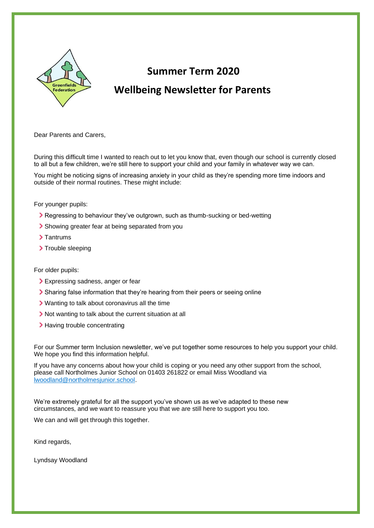

# **Summer Term 2020 Wellbeing Newsletter for Parents**

Dear Parents and Carers,

During this difficult time I wanted to reach out to let you know that, even though our school is currently closed to all but a few children, we're still here to support your child and your family in whatever way we can.

You might be noticing signs of increasing anxiety in your child as they're spending more time indoors and outside of their normal routines. These might include:

For younger pupils:

- Regressing to behaviour they've outgrown, such as thumb-sucking or bed-wetting
- Showing greater fear at being separated from you
- > Tantrums
- > Trouble sleeping

#### For older pupils:

- > Expressing sadness, anger or fear
- Sharing false information that they're hearing from their peers or seeing online
- Wanting to talk about coronavirus all the time
- If Not wanting to talk about the current situation at all
- > Having trouble concentrating

For our Summer term Inclusion newsletter, we've put together some resources to help you support your child. We hope you find this information helpful.

If you have any concerns about how your child is coping or you need any other support from the school, please call Northolmes Junior School on 01403 261822 or email Miss Woodland via [lwoodland@northolmesjunior.school.](mailto:lwoodland@northolmesjunior.school)

We're extremely grateful for all the support you've shown us as we've adapted to these new circumstances, and we want to reassure you that we are still here to support you too.

We can and will get through this together.

Kind regards,

Lyndsay Woodland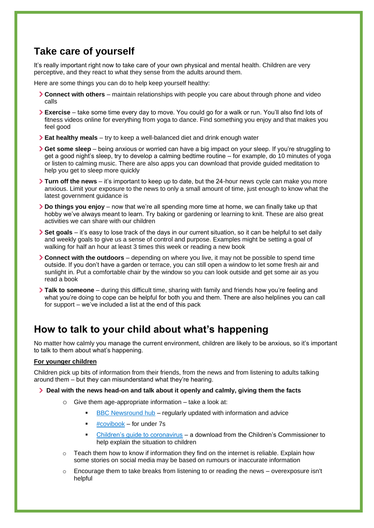## **Take care of yourself**

It's really important right now to take care of your own physical and mental health. Children are very perceptive, and they react to what they sense from the adults around them.

Here are some things you can do to help keep yourself healthy:

- **Connect with others** maintain relationships with people you care about through phone and video calls
- **Exercise**  take some time every day to move. You could go for a walk or run. You'll also find lots of fitness videos online for everything from yoga to dance. Find something you enjoy and that makes you feel good
- **Eat healthy meals**  try to keep a well-balanced diet and drink enough water
- **Get some sleep**  being anxious or worried can have a big impact on your sleep. If you're struggling to get a good night's sleep, try to develop a calming bedtime routine – for example, do 10 minutes of yoga or listen to calming music. There are also apps you can download that provide guided meditation to help you get to sleep more quickly
- **Turn off the news** it's important to keep up to date, but the 24-hour news cycle can make you more anxious. Limit your exposure to the news to only a small amount of time, just enough to know what the latest government guidance is
- **Do things you enjoy**  now that we're all spending more time at home, we can finally take up that hobby we've always meant to learn. Try baking or gardening or learning to knit. These are also great activities we can share with our children
- **> Set goals** it's easy to lose track of the days in our current situation, so it can be helpful to set daily and weekly goals to give us a sense of control and purpose. Examples might be setting a goal of walking for half an hour at least 3 times this week or reading a new book
- **Connect with the outdoors**  depending on where you live, it may not be possible to spend time outside. If you don't have a garden or terrace, you can still open a window to let some fresh air and sunlight in. Put a comfortable chair by the window so you can look outside and get some air as you read a book
- **Talk to someone**  during this difficult time, sharing with family and friends how you're feeling and what you're doing to cope can be helpful for both you and them. There are also helplines you can call for support – we've included a list at the end of this pack

### **How to talk to your child about what's happening**

No matter how calmly you manage the current environment, children are likely to be anxious, so it's important to talk to them about what's happening.

#### **For younger children**

Children pick up bits of information from their friends, from the news and from listening to adults talking around them – but they can misunderstand what they're hearing.

#### **Deal with the news head-on and talk about it openly and calmly, giving them the facts**

- o Give them age-appropriate information take a look at:
	- **[BBC Newsround hub](https://www.bbc.co.uk/newsround/51204456)** regularly updated with information and advice
	- $\bullet$  [#covibook](https://www.mindheart.co/descargables) for under 7s
	- [Children's guide to coronavirus](https://www.childrenscommissioner.gov.uk/publication/childrens-guide-to-coronavirus/) a download from the Children's Commissioner to help explain the situation to children
- $\circ$  Teach them how to know if information they find on the internet is reliable. Explain how some stories on social media may be based on rumours or inaccurate information
- Encourage them to take breaks from listening to or reading the news overexposure isn't helpful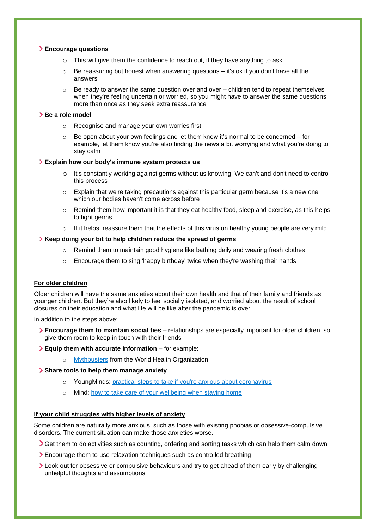#### **Encourage questions**

- $\circ$  This will give them the confidence to reach out, if they have anything to ask
- $\circ$  Be reassuring but honest when answering questions it's ok if you don't have all the answers
- $\circ$  Be ready to answer the same question over and over children tend to repeat themselves when they're feeling uncertain or worried, so you might have to answer the same questions more than once as they seek extra reassurance

#### **Be a role model**

- o Recognise and manage your own worries first
- Be open about your own feelings and let them know it's normal to be concerned for example, let them know you're also finding the news a bit worrying and what you're doing to stay calm

#### **Explain how our body's immune system protects us**

- o It's constantly working against germs without us knowing. We can't and don't need to control this process
- $\circ$  Explain that we're taking precautions against this particular germ because it's a new one which our bodies haven't come across before
- $\circ$  Remind them how important it is that they eat healthy food, sleep and exercise, as this helps to fight germs
- $\circ$  If it helps, reassure them that the effects of this virus on healthy young people are very mild

#### **Keep doing your bit to help children reduce the spread of germs**

- o Remind them to maintain good hygiene like bathing daily and wearing fresh clothes
- o Encourage them to sing 'happy birthday' twice when they're washing their hands

#### **For older children**

Older children will have the same anxieties about their own health and that of their family and friends as younger children. But they're also likely to feel socially isolated, and worried about the result of school closures on their education and what life will be like after the pandemic is over.

In addition to the steps above:

- **Encourage them to maintain social ties** relationships are especially important for older children, so give them room to keep in touch with their friends
- **Equip them with accurate information**  for example:
	- o [Mythbusters](https://www.who.int/emergencies/diseases/novel-coronavirus-2019/advice-for-public/myth-busters) from the World Health Organization

#### **Share tools to help them manage anxiety**

- o YoungMinds: [practical steps to take if you're anxious about coronavirus](https://youngminds.org.uk/blog/what-to-do-if-you-re-anxious-about-coronavirus/)
- o Mind: [how to take care of your wellbeing when staying home](https://www.mind.org.uk/information-support/coronavirus-and-your-wellbeing)

#### **If your child struggles with higher levels of anxiety**

Some children are naturally more anxious, such as those with existing phobias or obsessive-compulsive disorders. The current situation can make those anxieties worse.

- Set them to do activities such as counting, ordering and sorting tasks which can help them calm down
- Encourage them to use relaxation techniques such as controlled breathing
- **>** Look out for obsessive or compulsive behaviours and try to get ahead of them early by challenging unhelpful thoughts and assumptions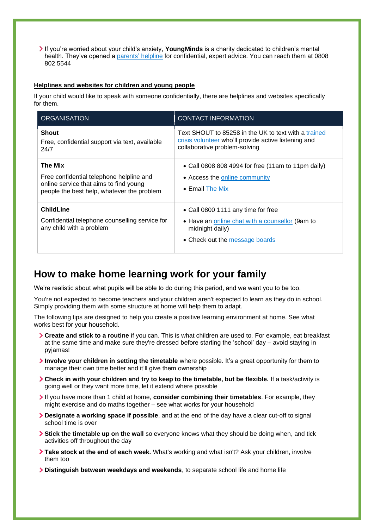If you're worried about your child's anxiety, **YoungMinds** is a charity dedicated to children's mental health. They've opened a [parents'](https://youngminds.org.uk/find-help/for-parents/parents-helpline/) helpline for confidential, expert advice. You can reach them at 0808 802 5544

#### **Helplines and websites for children and young people**

If your child would like to speak with someone confidentially, there are helplines and websites specifically for them.

| <b>ORGANISATION</b>                                                                                                                         | <b>CONTACT INFORMATION</b>                                                                                                                    |
|---------------------------------------------------------------------------------------------------------------------------------------------|-----------------------------------------------------------------------------------------------------------------------------------------------|
| <b>Shout</b><br>Free, confidential support via text, available<br>24/7                                                                      | Text SHOUT to 85258 in the UK to text with a trained<br>crisis volunteer who'll provide active listening and<br>collaborative problem-solving |
| The Mix<br>Free confidential telephone helpline and<br>online service that aims to find young<br>people the best help, whatever the problem | • Call 0808 808 4994 for free (11am to 11pm daily)<br>• Access the online community<br>• Email <b>The Mix</b>                                 |
| <b>ChildLine</b><br>Confidential telephone counselling service for<br>any child with a problem                                              | • Call 0800 1111 any time for free<br>• Have an online chat with a counsellor (9am to<br>midnight daily)<br>• Check out the message boards    |

### **How to make home learning work for your family**

We're realistic about what pupils will be able to do during this period, and we want you to be too.

You're not expected to become teachers and your children aren't expected to learn as they do in school. Simply providing them with some structure at home will help them to adapt.

The following tips are designed to help you create a positive learning environment at home. See what works best for your household.

- **Create and stick to a routine** if you can. This is what children are used to. For example, eat breakfast at the same time and make sure they're dressed before starting the 'school' day – avoid staying in pyjamas!
- **Involve your children in setting the timetable** where possible. It's a great opportunity for them to manage their own time better and it'll give them ownership
- **Check in with your children and try to keep to the timetable, but be flexible.** If a task/activity is going well or they want more time, let it extend where possible
- If you have more than 1 child at home, **consider combining their timetables**. For example, they might exercise and do maths together – see what works for your household
- **Designate a working space if possible**, and at the end of the day have a clear cut-off to signal school time is over
- **Stick the timetable up on the wall** so everyone knows what they should be doing when, and tick activities off throughout the day
- **Take stock at the end of each week.** What's working and what isn't? Ask your children, involve them too
- **Distinguish between weekdays and weekends**, to separate school life and home life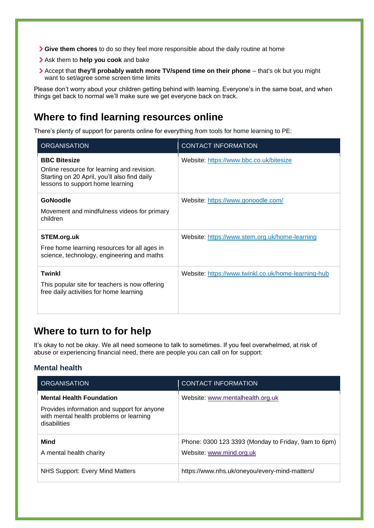- **Give them chores** to do so they feel more responsible about the daily routine at home
- Ask them to **help you cook** and bake
- Accept that **they'll probably watch more TV/spend time on their phone**  that's ok but you might want to set/agree some screen time limits

Please don't worry about your children getting behind with learning. Everyone's in the same boat, and when things get back to normal we'll make sure we get everyone back on track.

### **Where to find learning resources online**

There's plenty of support for parents online for everything from tools for home learning to PE:

| <b>ORGANISATION</b>                                                                                                                                   | <b>CONTACT INFORMATION</b>                          |
|-------------------------------------------------------------------------------------------------------------------------------------------------------|-----------------------------------------------------|
| <b>BBC Bitesize</b><br>Online resource for learning and revision.<br>Starting on 20 April, you'll also find daily<br>lessons to support home learning | Website: https://www.bbc.co.uk/bitesize             |
| GoNoodle<br>Movement and mindfulness videos for primary<br>children                                                                                   | Website: https://www.gonoodle.com/                  |
| STEM.org.uk<br>Free home learning resources for all ages in<br>science, technology, engineering and maths                                             | Website: https://www.stem.org.uk/home-learning      |
| Twinkl<br>This popular site for teachers is now offering<br>free daily activities for home learning                                                   | Website: https://www.twinkl.co.uk/home-learning-hub |

# **Where to turn to for help**

It's okay to not be okay. We all need someone to talk to sometimes. If you feel overwhelmed, at risk of abuse or experiencing financial need, there are people you can call on for support:

### **Mental health**

| <b>ORGANISATION</b>                                                                                                                       | <b>CONTACT INFORMATION</b>                                                      |
|-------------------------------------------------------------------------------------------------------------------------------------------|---------------------------------------------------------------------------------|
| <b>Mental Health Foundation</b><br>Provides information and support for anyone<br>with mental health problems or learning<br>disabilities | Website: www.mentalhealth.org.uk                                                |
| Mind<br>A mental health charity                                                                                                           | Phone: 0300 123 3393 (Monday to Friday, 9am to 6pm)<br>Website: www.mind.org.uk |
| NHS Support: Every Mind Matters                                                                                                           | https://www.nhs.uk/oneyou/every-mind-matters/                                   |